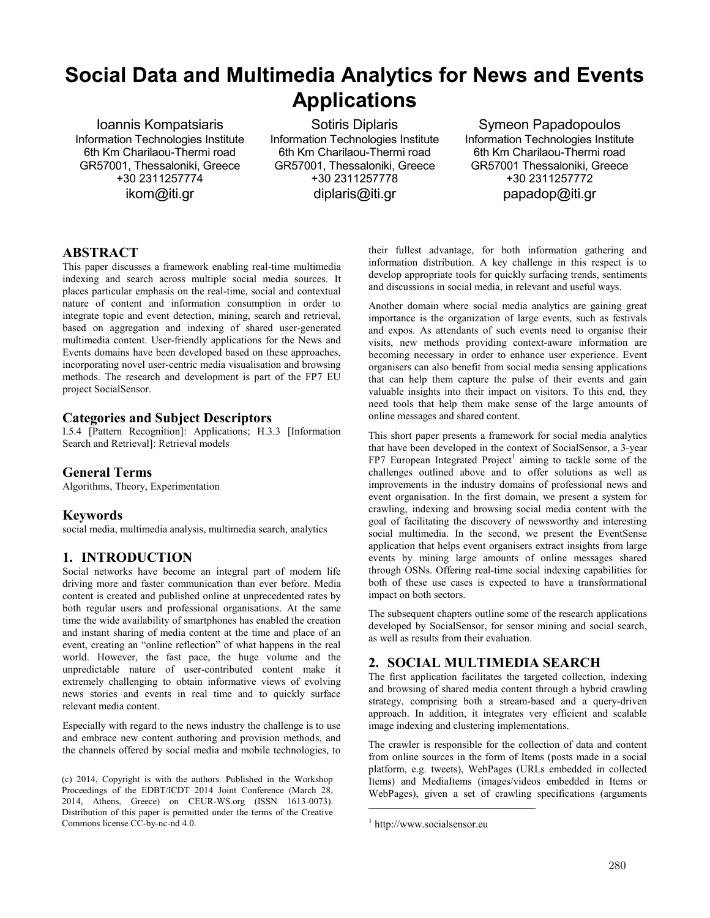# **Social Data and Multimedia Analytics for News and Events Applications**

Ioannis Kompatsiaris Information Technologies Institute 6th Km Charilaou-Thermi road GR57001, Thessaloniki, Greece +30 2311257774 ikom@iti.gr

Sotiris Diplaris Information Technologies Institute 6th Km Charilaou-Thermi road GR57001, Thessaloniki, Greece +30 2311257778 diplaris@iti.gr

Symeon Papadopoulos Information Technologies Institute 6th Km Charilaou-Thermi road GR57001 Thessaloniki, Greece +30 2311257772 papadop@iti.gr

## **ABSTRACT**

This paper discusses a framework enabling real-time multimedia indexing and search across multiple social media sources. It places particular emphasis on the real-time, social and contextual nature of content and information consumption in order to integrate topic and event detection, mining, search and retrieval, based on aggregation and indexing of shared user-generated multimedia content. User-friendly applications for the News and Events domains have been developed based on these approaches, incorporating novel user-centric media visualisation and browsing methods. The research and development is part of the FP7 EU project SocialSensor.

## **Categories and Subject Descriptors**

I.5.4 [Pattern Recognition]: Applications; H.3.3 [Information Search and Retrieval]: Retrieval models

## **General Terms**

Algorithms, Theory, Experimentation

## **Keywords**

social media, multimedia analysis, multimedia search, analytics

## **1. INTRODUCTION**

Social networks have become an integral part of modern life driving more and faster communication than ever before. Media content is created and published online at unprecedented rates by both regular users and professional organisations. At the same time the wide availability of smartphones has enabled the creation and instant sharing of media content at the time and place of an event, creating an "online reflection" of what happens in the real world. However, the fast pace, the huge volume and the unpredictable nature of user-contributed content make it extremely challenging to obtain informative views of evolving news stories and events in real time and to quickly surface relevant media content.

Especially with regard to the news industry the challenge is to use and embrace new content authoring and provision methods, and the channels offered by social media and mobile technologies, to

their fullest advantage, for both information gathering and information distribution. A key challenge in this respect is to develop appropriate tools for quickly surfacing trends, sentiments and discussions in social media, in relevant and useful ways.

Another domain where social media analytics are gaining great importance is the organization of large events, such as festivals and expos. As attendants of such events need to organise their visits, new methods providing context-aware information are becoming necessary in order to enhance user experience. Event organisers can also benefit from social media sensing applications that can help them capture the pulse of their events and gain valuable insights into their impact on visitors. To this end, they need tools that help them make sense of the large amounts of online messages and shared content.

This short paper presents a framework for social media analytics that have been developed in the context of SocialSensor, a 3-year  $FP7$  European Integrated Project<sup>1</sup> aiming to tackle some of the challenges outlined above and to offer solutions as well as improvements in the industry domains of professional news and event organisation. In the first domain, we present a system for crawling, indexing and browsing social media content with the goal of facilitating the discovery of newsworthy and interesting social multimedia. In the second, we present the EventSense application that helps event organisers extract insights from large events by mining large amounts of online messages shared through OSNs. Offering real-time social indexing capabilities for both of these use cases is expected to have a transformational impact on both sectors.

The subsequent chapters outline some of the research applications developed by SocialSensor, for sensor mining and social search, as well as results from their evaluation.

## **2. SOCIAL MULTIMEDIA SEARCH**

The first application facilitates the targeted collection, indexing and browsing of shared media content through a hybrid crawling strategy, comprising both a stream-based and a query-driven approach. In addition, it integrates very efficient and scalable image indexing and clustering implementations.

The crawler is responsible for the collection of data and content from online sources in the form of Items (posts made in a social platform, e.g. tweets), WebPages (URLs embedded in collected Items) and MediaItems (images/videos embedded in Items or WebPages), given a set of crawling specifications (arguments

 $\overline{a}$ 

<sup>(</sup>c) 2014, Copyright is with the authors. Published in the Workshop Proceedings of the EDBT/ICDT 2014 Joint Conference (March 28, 2014, Athens, Greece) on CEUR-WS.org (ISSN 1613-0073). Distribution of this paper is permitted under the terms of the Creative Commons license CC-by-nc-nd 4.0.

<sup>1</sup> http://www.socialsensor.eu